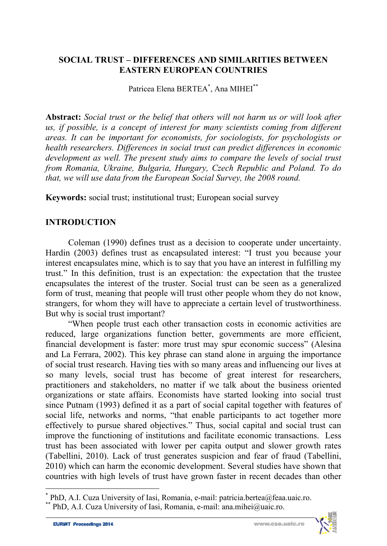#### **SOCIAL TRUST – DIFFERENCES AND SIMILARITIES BETWEEN EASTERN EUROPEAN COUNTRIES**

Patricea Elena BERTEA<sup>\*</sup>, Ana MIHEI<sup>\*\*</sup>

**Abstract:** *Social trust or the belief that others will not harm us or will look after us, if possible, is a concept of interest for many scientists coming from different areas. It can be important for economists, for sociologists, for psychologists or health researchers. Differences in social trust can predict differences in economic development as well. The present study aims to compare the levels of social trust from Romania, Ukraine, Bulgaria, Hungary, Czech Republic and Poland. To do that, we will use data from the European Social Survey, the 2008 round.* 

**Keywords:** social trust; institutional trust; European social survey

# **INTRODUCTION**

Coleman (1990) defines trust as a decision to cooperate under uncertainty. Hardin (2003) defines trust as encapsulated interest: "I trust you because your interest encapsulates mine, which is to say that you have an interest in fulfilling my trust." In this definition, trust is an expectation: the expectation that the trustee encapsulates the interest of the truster. Social trust can be seen as a generalized form of trust, meaning that people will trust other people whom they do not know, strangers, for whom they will have to appreciate a certain level of trustworthiness. But why is social trust important?

"When people trust each other transaction costs in economic activities are reduced, large organizations function better, governments are more efficient, financial development is faster: more trust may spur economic success" (Alesina and La Ferrara, 2002). This key phrase can stand alone in arguing the importance of social trust research. Having ties with so many areas and influencing our lives at so many levels, social trust has become of great interest for researchers, practitioners and stakeholders, no matter if we talk about the business oriented organizations or state affairs. Economists have started looking into social trust since Putnam (1993) defined it as a part of social capital together with features of social life, networks and norms, "that enable participants to act together more effectively to pursue shared objectives." Thus, social capital and social trust can improve the functioning of institutions and facilitate economic transactions. Less trust has been associated with lower per capita output and slower growth rates (Tabellini, 2010). Lack of trust generates suspicion and fear of fraud (Tabellini, 2010) which can harm the economic development. Several studies have shown that countries with high levels of trust have grown faster in recent decades than other

l



<sup>\*</sup> PhD, A.I. Cuza University of Iasi, Romania, e-mail: patricia.bertea@feaa.uaic.ro. \*\* PhD, A.I. Cuza University of Iasi, Romania, e-mail: ana.mihei@uaic.ro.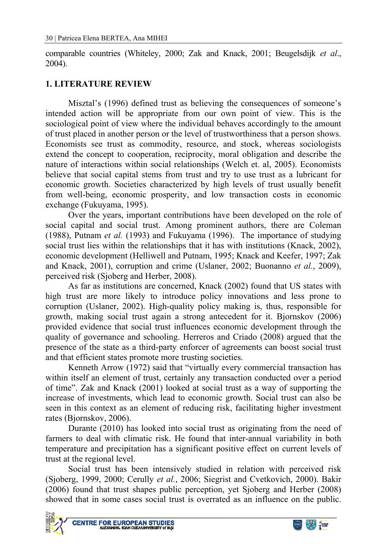comparable countries (Whiteley, 2000; Zak and Knack, 2001; Beugelsdijk *et al*., 2004).

## **1. LITERATURE REVIEW**

Misztal's (1996) defined trust as believing the consequences of someone's intended action will be appropriate from our own point of view. This is the sociological point of view where the individual behaves accordingly to the amount of trust placed in another person or the level of trustworthiness that a person shows. Economists see trust as commodity, resource, and stock, whereas sociologists extend the concept to cooperation, reciprocity, moral obligation and describe the nature of interactions within social relationships (Welch et. al, 2005). Economists believe that social capital stems from trust and try to use trust as a lubricant for economic growth. Societies characterized by high levels of trust usually benefit from well-being, economic prosperity, and low transaction costs in economic exchange (Fukuyama, 1995).

Over the years, important contributions have been developed on the role of social capital and social trust. Among prominent authors, there are Coleman (1988), Putnam *et al.* (1993) and Fukuyama (1996). The importance of studying social trust lies within the relationships that it has with institutions (Knack, 2002), economic development (Helliwell and Putnam, 1995; Knack and Keefer, 1997; Zak and Knack, 2001), corruption and crime (Uslaner, 2002; Buonanno *et al.*, 2009), perceived risk (Sjoberg and Herber, 2008).

As far as institutions are concerned, Knack (2002) found that US states with high trust are more likely to introduce policy innovations and less prone to corruption (Uslaner, 2002). High-quality policy making is, thus, responsible for growth, making social trust again a strong antecedent for it. Bjornskov (2006) provided evidence that social trust influences economic development through the quality of governance and schooling. Herreros and Criado (2008) argued that the presence of the state as a third-party enforcer of agreements can boost social trust and that efficient states promote more trusting societies.

Kenneth Arrow (1972) said that "virtually every commercial transaction has within itself an element of trust, certainly any transaction conducted over a period of time". Zak and Knack (2001) looked at social trust as a way of supporting the increase of investments, which lead to economic growth. Social trust can also be seen in this context as an element of reducing risk, facilitating higher investment rates (Bjornskov, 2006).

Durante (2010) has looked into social trust as originating from the need of farmers to deal with climatic risk. He found that inter-annual variability in both temperature and precipitation has a significant positive effect on current levels of trust at the regional level.

Social trust has been intensively studied in relation with perceived risk (Sjoberg, 1999, 2000; Cerully *et al.*, 2006; Siegrist and Cvetkovich, 2000). Bakir (2006) found that trust shapes public perception, yet Sjoberg and Herber (2008) showed that in some cases social trust is overrated as an influence on the public.



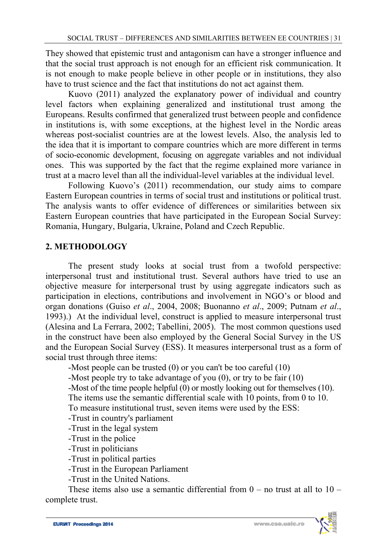They showed that epistemic trust and antagonism can have a stronger influence and that the social trust approach is not enough for an efficient risk communication. It is not enough to make people believe in other people or in institutions, they also have to trust science and the fact that institutions do not act against them.

Kuovo (2011) analyzed the explanatory power of individual and country level factors when explaining generalized and institutional trust among the Europeans. Results confirmed that generalized trust between people and confidence in institutions is, with some exceptions, at the highest level in the Nordic areas whereas post-socialist countries are at the lowest levels. Also, the analysis led to the idea that it is important to compare countries which are more different in terms of socio-economic development, focusing on aggregate variables and not individual ones. This was supported by the fact that the regime explained more variance in trust at a macro level than all the individual-level variables at the individual level.

Following Kuovo's (2011) recommendation, our study aims to compare Eastern European countries in terms of social trust and institutions or political trust. The analysis wants to offer evidence of differences or similarities between six Eastern European countries that have participated in the European Social Survey: Romania, Hungary, Bulgaria, Ukraine, Poland and Czech Republic.

# **2. METHODOLOGY**

The present study looks at social trust from a twofold perspective: interpersonal trust and institutional trust. Several authors have tried to use an objective measure for interpersonal trust by using aggregate indicators such as participation in elections, contributions and involvement in NGO's or blood and organ donations (Guiso *et al*., 2004, 2008; Buonanno *et al*., 2009; Putnam *et al*., 1993).) At the individual level, construct is applied to measure interpersonal trust (Alesina and La Ferrara, 2002; Tabellini, 2005). The most common questions used in the construct have been also employed by the General Social Survey in the US and the European Social Survey (ESS). It measures interpersonal trust as a form of social trust through three items:

-Most people can be trusted (0) or you can't be too careful (10)

-Most people try to take advantage of you (0), or try to be fair (10)

-Most of the time people helpful (0) or mostly looking out for themselves (10).

The items use the semantic differential scale with 10 points, from 0 to 10.

To measure institutional trust, seven items were used by the ESS:

-Trust in country's parliament

-Trust in the legal system

-Trust in the police

-Trust in politicians

-Trust in political parties

-Trust in the European Parliament

-Trust in the United Nations.

These items also use a semantic differential from  $0 -$  no trust at all to  $10$ complete trust.

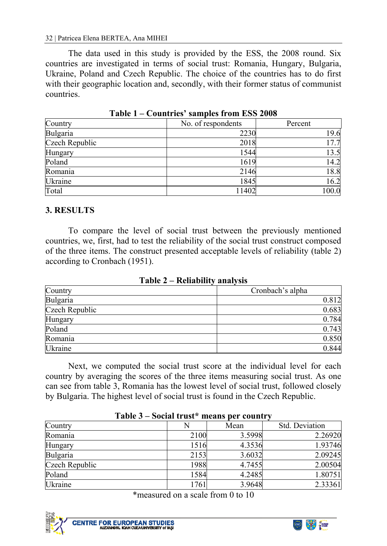The data used in this study is provided by the ESS, the 2008 round. Six countries are investigated in terms of social trust: Romania, Hungary, Bulgaria, Ukraine, Poland and Czech Republic. The choice of the countries has to do first with their geographic location and, secondly, with their former status of communist countries.

| Country        | No. of respondents | Percent |
|----------------|--------------------|---------|
| Bulgaria       | 2230               | 19.6    |
| Czech Republic | 2018               | 17.7    |
| Hungary        | 1544               | 13.5    |
| Poland         | 1619               | 14.2    |
| Romania        | 2146               | 18.8    |
| Ukraine        | 1845               | 16.2    |
| Total          | 11402              | 100.0   |

**Table 1 – Countries' samples from ESS 2008** 

## **3. RESULTS**

To compare the level of social trust between the previously mentioned countries, we, first, had to test the reliability of the social trust construct composed of the three items. The construct presented acceptable levels of reliability (table 2) according to Cronbach (1951).

**Table 2 – Reliability analysis** 

| Country        | Cronbach's alpha |
|----------------|------------------|
| Bulgaria       | 0.812            |
| Czech Republic | 0.683            |
| Hungary        | 0.784            |
| Poland         | 0.743            |
| Romania        | 0.850            |
| Ukraine        | 0.844            |

Next, we computed the social trust score at the individual level for each country by averaging the scores of the three items measuring social trust. As one can see from table 3, Romania has the lowest level of social trust, followed closely by Bulgaria. The highest level of social trust is found in the Czech Republic.

| Country        |      | Mean   | Std. Deviation |
|----------------|------|--------|----------------|
| Romania        | 2100 | 3.5998 | 2.26920        |
| Hungary        | 1516 | 4.3536 | 1.93746        |
| Bulgaria       | 2153 | 3.6032 | 2.09245        |
| Czech Republic | 1988 | 4.7455 | 2.00504        |
| Poland         | 1584 | 4.2485 | 1.80751        |
| Ukraine        | 1761 | 3.9648 | 2.33361        |

#### **Table 3 – Social trust\* means per country**

\*measured on a scale from 0 to 10



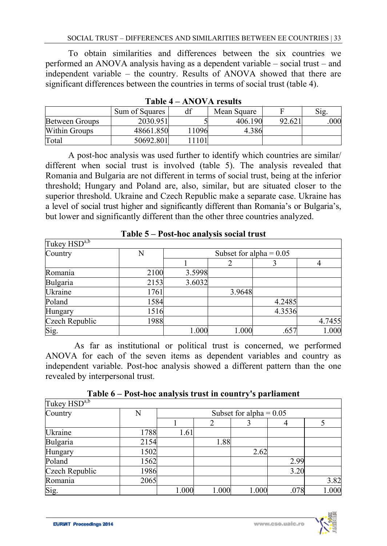To obtain similarities and differences between the six countries we performed an ANOVA analysis having as a dependent variable – social trust – and independent variable – the country. Results of ANOVA showed that there are significant differences between the countries in terms of social trust (table 4).

|                       | Sum of Squares | df   | Mean Square |        | Sig |  |  |  |
|-----------------------|----------------|------|-------------|--------|-----|--|--|--|
| <b>Between Groups</b> | 2030.951       |      | 406.190     | 92.621 | 000 |  |  |  |
| <b>Within Groups</b>  | 48661.850      | 1096 | 4.386       |        |     |  |  |  |
| Total                 | 50692.801      | 1101 |             |        |     |  |  |  |

A post-hoc analysis was used further to identify which countries are similar/ different when social trust is involved (table 5). The analysis revealed that Romania and Bulgaria are not different in terms of social trust, being at the inferior threshold; Hungary and Poland are, also, similar, but are situated closer to the superior threshold. Ukraine and Czech Republic make a separate case. Ukraine has a level of social trust higher and significantly different than Romania's or Bulgaria's, but lower and significantly different than the other three countries analyzed.

| Tukey HSD <sup>a,b</sup> |      |                           |        |        |        |  |
|--------------------------|------|---------------------------|--------|--------|--------|--|
| Country                  | N    | Subset for alpha $= 0.05$ |        |        |        |  |
|                          |      |                           |        |        |        |  |
| Romania                  | 2100 | 3.5998                    |        |        |        |  |
| Bulgaria                 | 2153 | 3.6032                    |        |        |        |  |
| Ukraine                  | 1761 |                           | 3.9648 |        |        |  |
| Poland                   | 1584 |                           |        | 4.2485 |        |  |
| Hungary                  | 1516 |                           |        | 4.3536 |        |  |
| Czech Republic           | 1988 |                           |        |        | 4.7455 |  |
| Sig.                     |      | 1.000                     | 1.000  | .657   | 1.000  |  |

**Table 5 – Post-hoc analysis social trust** 

As far as institutional or political trust is concerned, we performed ANOVA for each of the seven items as dependent variables and country as independent variable. Post-hoc analysis showed a different pattern than the one revealed by interpersonal trust.

| Table 6 – Post-hoc analysis trust in country's parliament |  |  |  |
|-----------------------------------------------------------|--|--|--|
|-----------------------------------------------------------|--|--|--|

| Tukey HSD <sup>a,b</sup> |      |                           |       |       |      |       |
|--------------------------|------|---------------------------|-------|-------|------|-------|
| Country                  | N    | Subset for alpha = $0.05$ |       |       |      |       |
|                          |      |                           |       |       |      |       |
| Ukraine                  | 1788 | 1.61                      |       |       |      |       |
| Bulgaria                 | 2154 |                           | 1.88  |       |      |       |
| Hungary                  | 1502 |                           |       | 2.62  |      |       |
| Poland                   | 1562 |                           |       |       | 2.99 |       |
| Czech Republic           | 1986 |                           |       |       | 3.20 |       |
| Romania                  | 2065 |                           |       |       |      | 3.82  |
| Sig.                     |      | 1.000                     | 1.000 | 1.000 | .078 | 1.000 |

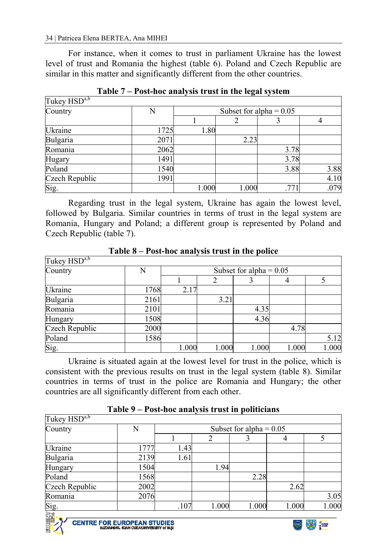For instance, when it comes to trust in parliament Ukraine has the lowest level of trust and Romania the highest (table 6). Poland and Czech Republic are similar in this matter and significantly different from the other countries.

| Tukey HSD <sup>a,b</sup> |      |                           |       |      |      |  |  |
|--------------------------|------|---------------------------|-------|------|------|--|--|
| Country                  | N    | Subset for alpha = $0.05$ |       |      |      |  |  |
|                          |      |                           |       |      |      |  |  |
| Ukraine                  | 1725 | 1.80                      |       |      |      |  |  |
| Bulgaria                 | 2071 |                           | 2.23  |      |      |  |  |
| Romania                  | 2062 |                           |       | 3.78 |      |  |  |
| Hugary                   | 1491 |                           |       | 3.78 |      |  |  |
| Poland                   | 1540 |                           |       | 3.88 | 3.88 |  |  |
| Czech Republic           | 1991 |                           |       |      | 4.10 |  |  |
| Sig.                     |      | 1.000                     | 1.000 | .77  | .079 |  |  |

**Table 7 – Post-hoc analysis trust in the legal system** 

Regarding trust in the legal system, Ukraine has again the lowest level, followed by Bulgaria. Similar countries in terms of trust in the legal system are Romania, Hungary and Poland; a different group is represented by Poland and Czech Republic (table 7).

| Tukey $HSD^{a,b}$ |      |                           |       |       |       |       |
|-------------------|------|---------------------------|-------|-------|-------|-------|
| Country           | N    | Subset for alpha = $0.05$ |       |       |       |       |
|                   |      |                           |       |       |       |       |
| Ukraine           | 1768 | 2.17                      |       |       |       |       |
| Bulgaria          | 2161 |                           | 3.21  |       |       |       |
| Romania           | 2101 |                           |       | 4.35  |       |       |
| Hungary           | 1508 |                           |       | 4.36  |       |       |
| Czech Republic    | 2000 |                           |       |       | 4.78  |       |
| Poland            | 1586 |                           |       |       |       | 5.12  |
| Sig.              |      | 1.000                     | 1.000 | 1.000 | 1.000 | 1.000 |

**Table 8 – Post-hoc analysis trust in the police** 

Ukraine is situated again at the lowest level for trust in the police, which is consistent with the previous results on trust in the legal system (table 8). Similar countries in terms of trust in the police are Romania and Hungary; the other countries are all significantly different from each other.

|                                 | <u> 1 avit 7 – 1 ost-not analysis trust in politicians</u> |                           |       |       |       |       |  |
|---------------------------------|------------------------------------------------------------|---------------------------|-------|-------|-------|-------|--|
| Tukey HSD <sup>a,b</sup>        |                                                            |                           |       |       |       |       |  |
| Country                         | N                                                          | Subset for alpha = $0.05$ |       |       |       |       |  |
|                                 |                                                            |                           |       |       |       |       |  |
| Ukraine                         | 1777                                                       | 1.43                      |       |       |       |       |  |
| Bulgaria                        | 2139                                                       | 1.61                      |       |       |       |       |  |
| Hungary                         | 1504                                                       |                           | 1.94  |       |       |       |  |
| Poland                          | 1568                                                       |                           |       | 2.28  |       |       |  |
| Czech Republic                  | 2002                                                       |                           |       |       | 2.62  |       |  |
| Romania                         | 2076                                                       |                           |       |       |       | 3.05  |  |
| $\frac{\text{Sig.}}{\text{E.}}$ |                                                            | .107                      | 1.000 | 1.000 | 1.000 | 1.000 |  |
|                                 |                                                            |                           |       |       |       |       |  |



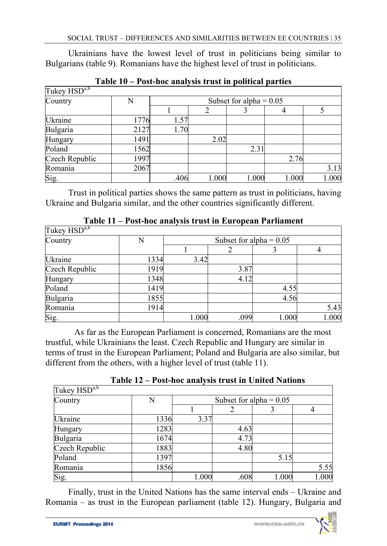Ukrainians have the lowest level of trust in politicians being similar to Bulgarians (table 9). Romanians have the highest level of trust in politicians.

| Tukey HSD <sup>a,b</sup> |      |                           |       |       |       |       |
|--------------------------|------|---------------------------|-------|-------|-------|-------|
| Country                  | N    | Subset for alpha = $0.05$ |       |       |       |       |
|                          |      |                           |       |       |       |       |
| Ukraine                  | 1776 | 1.57                      |       |       |       |       |
| Bulgaria                 | 2127 | 1.70                      |       |       |       |       |
| Hungary                  | 1491 |                           | 2.02  |       |       |       |
| Poland                   | 1562 |                           |       | 2.31  |       |       |
| Czech Republic           | 1997 |                           |       |       | 2.76  |       |
| Romania                  | 2067 |                           |       |       |       | 3.13  |
| Sig.                     |      | .406                      | 1.000 | 1.000 | 1.000 | 1.000 |

**Table 10 – Post-hoc analysis trust in political parties** 

Trust in political parties shows the same pattern as trust in politicians, having Ukraine and Bulgaria similar, and the other countries significantly different.

|                          | Toot Hot WHAT JORG TO WOT HE EASY OF THE TWENTHON |                           |      |       |       |  |  |
|--------------------------|---------------------------------------------------|---------------------------|------|-------|-------|--|--|
| Tukey HSD <sup>a,b</sup> |                                                   |                           |      |       |       |  |  |
| Country                  | N                                                 | Subset for alpha $= 0.05$ |      |       |       |  |  |
|                          |                                                   |                           |      |       |       |  |  |
| Ukraine                  | 1334                                              | 3.42                      |      |       |       |  |  |
| Czech Republic           | 1919                                              |                           | 3.87 |       |       |  |  |
| Hungary                  | 1348                                              |                           | 4.12 |       |       |  |  |
| Poland                   | 1419                                              |                           |      | 4.55  |       |  |  |
| Bulgaria                 | 1855                                              |                           |      | 4.56  |       |  |  |
| Romania                  | 1914                                              |                           |      |       | 5.43  |  |  |
| Sig.                     |                                                   | 1.000                     | .099 | 1.000 | 1.000 |  |  |

**Table 11 – Post-hoc analysis trust in European Parliament** 

As far as the European Parliament is concerned, Romanians are the most trustful, while Ukrainians the least. Czech Republic and Hungary are similar in terms of trust in the European Parliament; Poland and Bulgaria are also similar, but different from the others, with a higher level of trust (table 11).

| Tukey $H\overline{SD}^{a,b}$ |      |                           |      |       |       |  |
|------------------------------|------|---------------------------|------|-------|-------|--|
| Country                      | N    | Subset for alpha $= 0.05$ |      |       |       |  |
|                              |      |                           |      |       |       |  |
| Ukraine                      | 1336 | 3.37                      |      |       |       |  |
| Hungary                      | 1283 |                           | 4.63 |       |       |  |
| Bulgaria                     | 1674 |                           | 4.73 |       |       |  |
| Czech Republic               | 1883 |                           | 4.80 |       |       |  |
| Poland                       | 1397 |                           |      | 5.15  |       |  |
| Romania                      | 1856 |                           |      |       | 5.55  |  |
| Sig.                         |      | 1.000                     | .608 | 1.000 | 1.000 |  |

**Table 12 – Post-hoc analysis trust in United Nations** 

Finally, trust in the United Nations has the same interval ends – Ukraine and Romania – as trust in the European parliament (table 12). Hungary, Bulgaria and

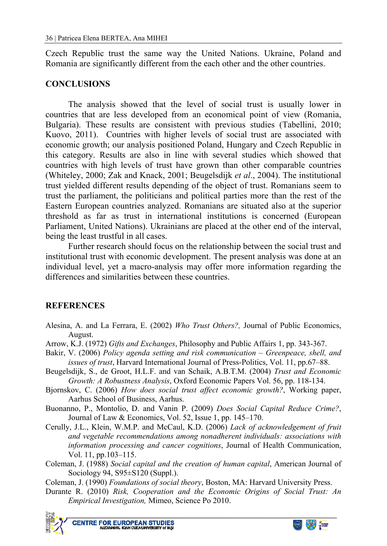Czech Republic trust the same way the United Nations. Ukraine, Poland and Romania are significantly different from the each other and the other countries.

#### **CONCLUSIONS**

The analysis showed that the level of social trust is usually lower in countries that are less developed from an economical point of view (Romania, Bulgaria). These results are consistent with previous studies (Tabellini, 2010; Kuovo, 2011). Countries with higher levels of social trust are associated with economic growth; our analysis positioned Poland, Hungary and Czech Republic in this category. Results are also in line with several studies which showed that countries with high levels of trust have grown than other comparable countries (Whiteley, 2000; Zak and Knack, 2001; Beugelsdijk *et al*., 2004). The institutional trust yielded different results depending of the object of trust. Romanians seem to trust the parliament, the politicians and political parties more than the rest of the Eastern European countries analyzed. Romanians are situated also at the superior threshold as far as trust in international institutions is concerned (European Parliament, United Nations). Ukrainians are placed at the other end of the interval, being the least trustful in all cases.

Further research should focus on the relationship between the social trust and institutional trust with economic development. The present analysis was done at an individual level, yet a macro-analysis may offer more information regarding the differences and similarities between these countries.

# **REFERENCES**

- Alesina, A. and La Ferrara, E. (2002) *Who Trust Others?,* Journal of Public Economics, August.
- Arrow, K.J. (1972) *Gifts and Exchanges*, Philosophy and Public Affairs 1, pp. 343-367.
- Bakir, V. (2006) *Policy agenda setting and risk communication Greenpeace, shell, and issues of trust*, Harvard International Journal of Press-Politics, Vol. 11, pp.67–88.
- Beugelsdijk, S., de Groot, H.L.F. and van Schaik, A.B.T.M. (2004) *Trust and Economic Growth: A Robustness Analysis*, Oxford Economic Papers Vol. 56, pp. 118-134.
- Bjornskov, C. (2006) *How does social trust affect economic growth?*, Working paper, Aarhus School of Business, Aarhus.
- Buonanno, P., Montolio, D. and Vanin P. (2009) *Does Social Capital Reduce Crime?*, Journal of Law & Economics, Vol. 52, Issue 1, pp. 145–170.
- Cerully, J.L., Klein, W.M.P. and McCaul, K.D. (2006) *Lack of acknowledgement of fruit and vegetable recommendations among nonadherent individuals: associations with information processing and cancer cognitions*, Journal of Health Communication, Vol. 11, pp.103–115.
- Coleman, J. (1988) *Social capital and the creation of human capital*, American Journal of Sociology 94, S95±S120 (Suppl.).
- Coleman, J. (1990) *Foundations of social theory*, Boston, MA: Harvard University Press.
- Durante R. (2010) *Risk, Cooperation and the Economic Origins of Social Trust: An Empirical Investigation,* Mimeo, Science Po 2010.